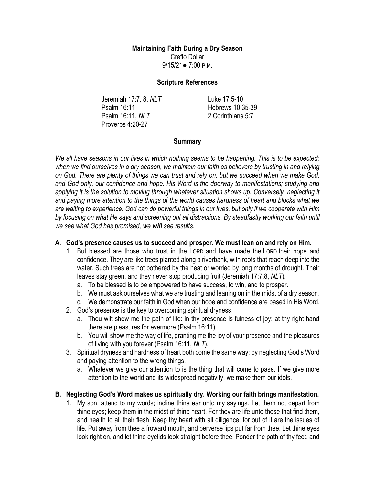# **Maintaining Faith During a Dry Season**

Creflo Dollar 9/15/21● 7:00 P.M.

### **Scripture References**

Jeremiah 17:7, 8, *NLT* Psalm 16:11 Psalm 16:11, *NLT* Proverbs 4:20-27

Luke 17:5-10 Hebrews 10:35-39 2 Corinthians 5:7

# **Summary**

*We all have seasons in our lives in which nothing seems to be happening. This is to be expected;*  when we find ourselves in a dry season, we maintain our faith as believers by trusting in and relying *on God. There are plenty of things we can trust and rely on, but we succeed when we make God, and God only, our confidence and hope. His Word is the doorway to manifestations; studying and*  applying it is the solution to moving through whatever situation shows up. Conversely, neglecting it *and paying more attention to the things of the world causes hardness of heart and blocks what we are waiting to experience. God can do powerful things in our lives, but only if we cooperate with Him by focusing on what He says and screening out all distractions. By steadfastly working our faith until we see what God has promised, we will see results.*

## **A. God's presence causes us to succeed and prosper. We must lean on and rely on Him.**

- 1. But blessed are those who trust in the LORD and have made the LORD their hope and confidence. They are like trees planted along a riverbank, with roots that reach deep into the water. Such trees are not bothered by the heat or worried by long months of drought. Their leaves stay green, and they never stop producing fruit (Jeremiah 17:7,8, *NLT*).
	- a. To be blessed is to be empowered to have success, to win, and to prosper.
	- b. We must ask ourselves what we are trusting and leaning on in the midst of a dry season.
	- c. We demonstrate our faith in God when our hope and confidence are based in His Word.
- 2. God's presence is the key to overcoming spiritual dryness.
	- a. Thou wilt shew me the path of life: in thy presence is fulness of joy; at thy right hand there are pleasures for evermore (Psalm 16:11).
	- b. You will show me the way of life, granting me the joy of your presence and the pleasures of living with you forever (Psalm 16:11, *NLT*).
- 3. Spiritual dryness and hardness of heart both come the same way; by neglecting God's Word and paying attention to the wrong things.
	- a. Whatever we give our attention to is the thing that will come to pass. If we give more attention to the world and its widespread negativity, we make them our idols.

# **B. Neglecting God's Word makes us spiritually dry. Working our faith brings manifestation.**

1. My son, attend to my words; incline thine ear unto my sayings. Let them not depart from thine eyes; keep them in the midst of thine heart. For they are life unto those that find them, and health to all their flesh. Keep thy heart with all diligence; for out of it are the issues of life. Put away from thee a froward mouth, and perverse lips put far from thee. Let thine eyes look right on, and let thine eyelids look straight before thee. Ponder the path of thy feet, and